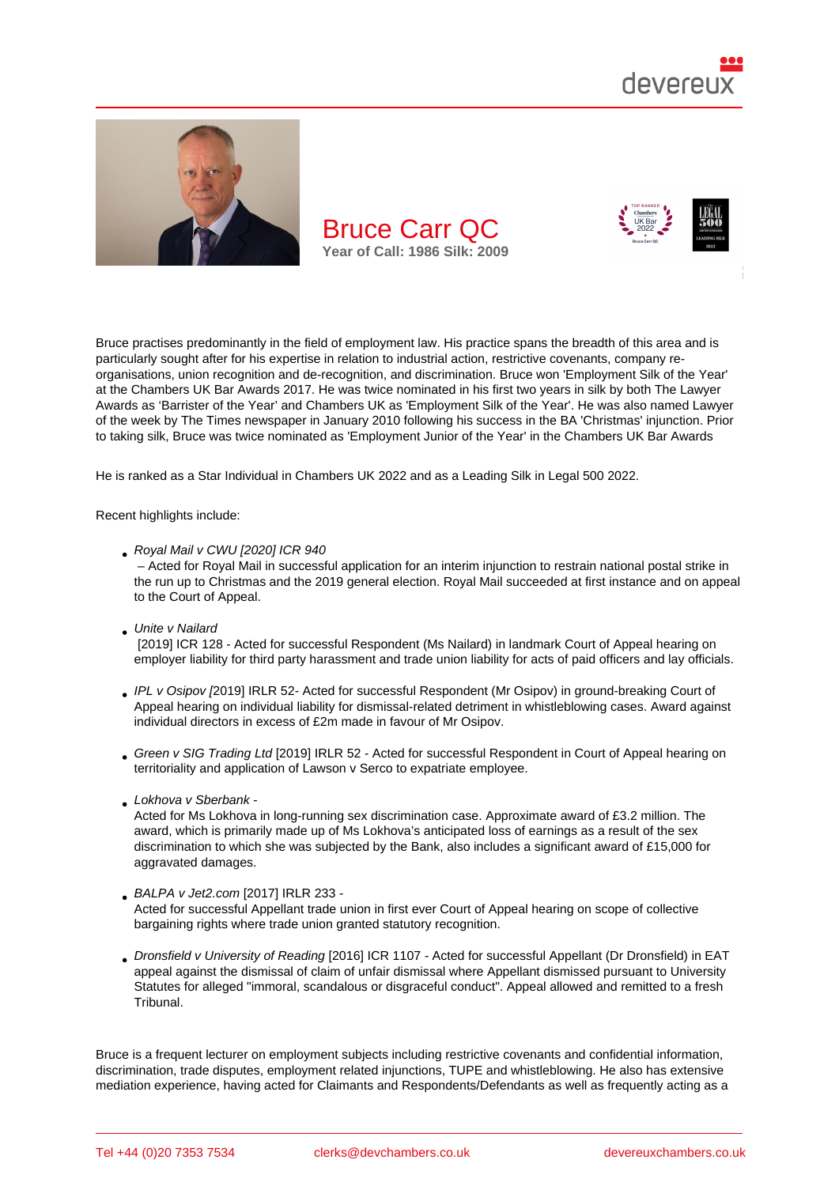

Bruce practises predominantly in the field of employment law. His practice spans the breadth of this area and is particularly sought after for his expertise in relation to industrial action, restrictive covenants, company reorganisations, union recognition and de-recognition, and discrimination. Bruce won 'Employment Silk of the Year' at the Chambers UK Bar Awards 2017. He was twice nominated in his first two years in silk by both The Lawyer Awards as 'Barrister of the Year' and Chambers UK as 'Employment Silk of the Year'. He was also named Lawyer of the week by The Times newspaper in January 2010 following his success in the BA 'Christmas' injunction. Prior to taking silk, Bruce was twice nominated as 'Employment Junior of the Year' in the Chambers UK Bar Awards

He is ranked as a Star Individual in Chambers UK 2022 and as a Leading Silk in Legal 500 2022.

Recent highlights include:

Royal Mail v CWU [2020] IC[R 940](https://chambers.com/lawyer/bruce-carr-qc-uk-bar-14:236450)

 – Acted for Royal Mail in successful application for an interim injunction to restrain national postal strike in the run up to Christmas and the 2019 general election. Royal Mail succeeded at first instance and on appeal to the Court of Appeal.

Unite v Nailard

 [2019] ICR 128 - Acted for successful Respondent (Ms Nailard) in landmark Court of Appeal hearing on employer liability for third party harassment and trade union liability for acts of paid officers and lay officials.

- IPL v Osipov [2019] IRLR 52- Acted for successful Respondent (Mr Osipov) in ground-breaking Court of Appeal hearing on individual liability for dismissal-related detriment in whistleblowing cases. Award against individual directors in excess of £2m made in favour of Mr Osipov.
- [Green v SIG](http://bit.ly/2VZU1zZ) Trading Ltd [2019] IRLR 52 Acted for successful Respondent in Court of Appeal hearing on territoriality and application of Lawson v Serco to expatriate employee.
- Lokhova v Sberbank -

[Acted for Ms Lokhova in](http://bit.ly/2THGhIF) long-running sex discrimination case. Approximate award of £3.2 million. The award, which is primarily made up of Ms Lokhova's anticipated loss of earnings as a result of the sex discrimination to which she was subjected by the Bank, also includes a significant award of £15,000 for [aggravated damages](http://www.devereuxchambers.co.uk/resources/news/view/employment-tribunal-awards-substantial-damages-in-sberbank-discrimination-c).

#### BALPA v Jet2.com [2017] IRLR 233 -

Acted for successful Appellant trade union in first ever Court of Appeal hearing on scope of collective bargaining rights where trade union granted statutory recognition.

[Dronsfield v Univer](http://www.devereuxchambers.co.uk/resources/news/view/bruce-carr-qc-and-peter-edwards-appear-for-pilots-trade-union-in-important-)sity of Reading [2016] ICR 1107 - Acted for successful Appellant (Dr Dronsfield) in EAT appeal against the dismissal of claim of unfair dismissal where Appellant dismissed pursuant to University Statutes for alleged "immoral, scandalous or disgraceful conduct". Appeal allowed and remitted to a fresh Tribunal.

Bruce is a frequent lecturer on employment subjects including restrictive covenants and confidential information, discrimination, trade disputes, employment related injunctions, TUPE and whistleblowing. He also has extensive mediation experience, having acted for Claimants and Respondents/Defendants as well as frequently acting as a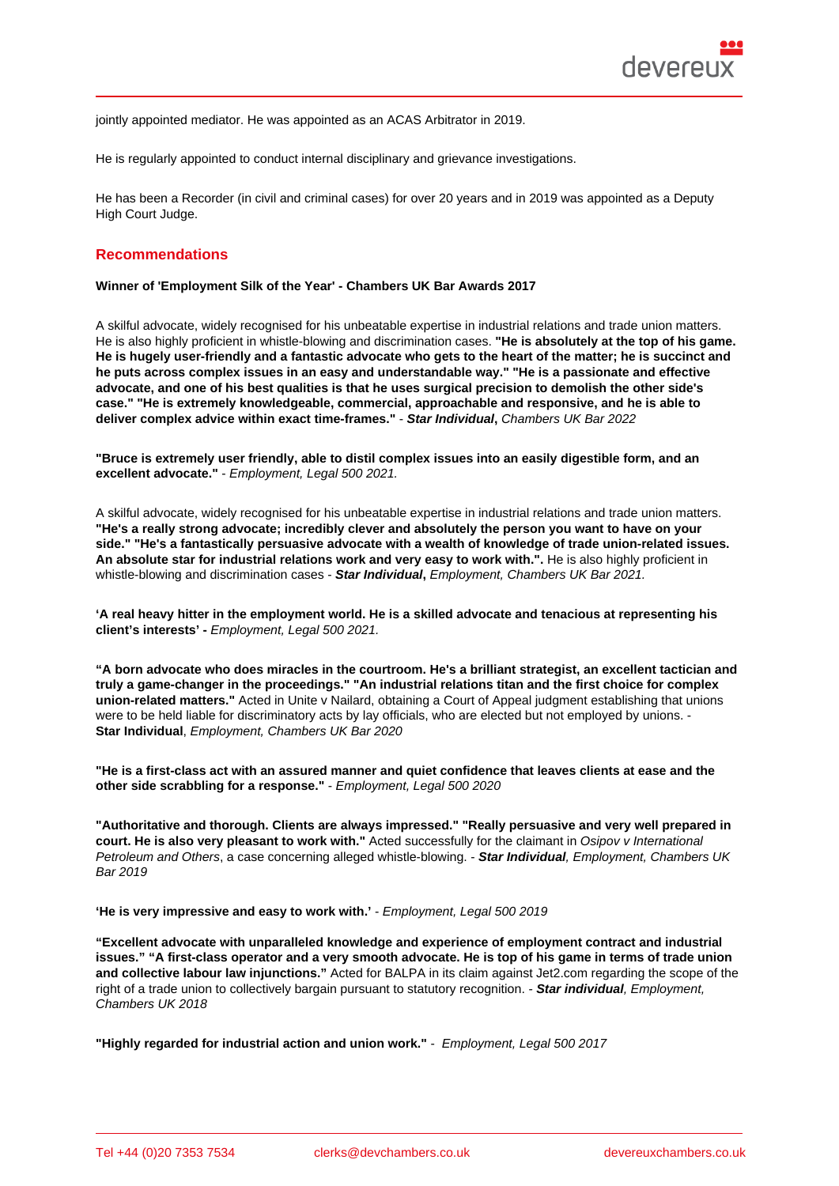jointly appointed mediator. He was appointed as an ACAS Arbitrator in 2019.

He is regularly appointed to conduct internal disciplinary and grievance investigations.

He has been a Recorder (in civil and criminal cases) for over 20 years and in 2019 was appointed as a Deputy High Court Judge.

### Recommendations

Winner of 'Employment Silk of the Year' - Chambers UK Bar Awards 2017

A skilful advocate, widely recognised for his unbeatable expertise in industrial relations and trade union matters. He is also highly proficient in whistle-blowing and discrimination cases. "He is absolutely at the top of his game. He is hugely user-friendly and a fantastic advocate who gets to the heart of the matter; he is succinct and he puts across complex issues in an easy and understandable way." "He is a passionate and effective advocate, and one of his best qualities is that he uses surgical precision to demolish the other side's case." "He is extremely knowledgeable, commercial, approachable and responsive, and he is able to deliver complex advice within exact time-frames." - Star Individual , Chambers UK Bar 2022

"Bruce is extremely user friendly, able to distil complex issues into an easily digestible form, and an excellent advocate." - Employment, Legal 500 2021.

A skilful advocate, widely recognised for his unbeatable expertise in industrial relations and trade union matters. "He's a really strong advocate; incredibly clever and absolutely the person you want to have on your side." "He's a fantastically persuasive advocate with a wealth of knowledge of trade union-related issues. An absolute star for industrial relations work and very easy to work with.". He is also highly proficient in whistle-blowing and discrimination cases - Star Individual , Employment, Chambers UK Bar 2021.

'A real heavy hitter in the employment world. He is a skilled advocate and tenacious at representing his client's interests' - Employment, Legal 500 2021.

"A born advocate who does miracles in the courtroom. He's a brilliant strategist, an excellent tactician and truly a game-changer in the proceedings." "An industrial relations titan and the first choice for complex union-related matters." Acted in Unite v Nailard, obtaining a Court of Appeal judgment establishing that unions were to be held liable for discriminatory acts by lay officials, who are elected but not employed by unions. - Star Individual , Employment, Chambers UK Bar 2020

"He is a first-class act with an assured manner and quiet confidence that leaves clients at ease and the other side scrabbling for a response." - Employment, Legal 500 2020

"Authoritative and thorough. Clients are always impressed." "Really persuasive and very well prepared in court. He is also very pleasant to work with." Acted successfully for the claimant in Osipov v International Petroleum and Others, a case concerning alleged whistle-blowing. - Star Individual , Employment, Chambers UK Bar 2019

'He is very impressive and easy to work with.' - Employment, Legal 500 2019

"Excellent advocate with unparalleled knowledge and experience of employment contract and industrial issues." "A first-class operator and a very smooth advocate. He is top of his game in terms of trade union and collective labour law injunctions." Acted for BALPA in its claim against Jet2.com regarding the scope of the right of a trade union to collectively bargain pursuant to statutory recognition. - Star individual , Employment, Chambers UK 2018

"Highly regarded for industrial action and union work." - Employment, Legal 500 2017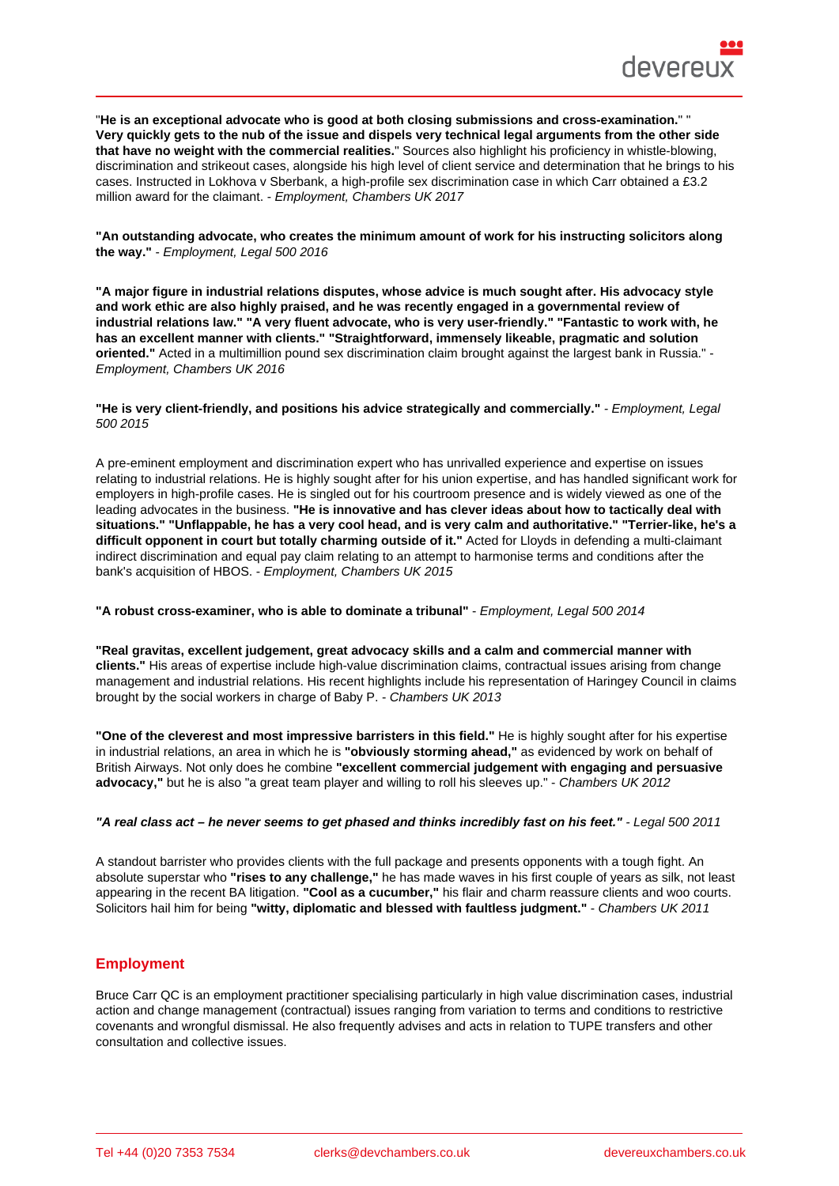"He is an exceptional advocate who is good at both closing submissions and cross-examination. " " Very quickly gets to the nub of the issue and dispels very technical legal arguments from the other side that have no weight with the commercial realities. " Sources also highlight his proficiency in whistle-blowing, discrimination and strikeout cases, alongside his high level of client service and determination that he brings to his cases. Instructed in Lokhova v Sberbank, a high-profile sex discrimination case in which Carr obtained a £3.2 million award for the claimant. - Employment, Chambers UK 2017

"An outstanding advocate, who creates the minimum amount of work for his instructing solicitors along the way." - Employment, Legal 500 2016

"A major figure in industrial relations disputes, whose advice is much sought after. His advocacy style and work ethic are also highly praised, and he was recently engaged in a governmental review of industrial relations law." "A very fluent advocate, who is very user-friendly." "Fantastic to work with, he has an excellent manner with clients." "Straightforward, immensely likeable, pragmatic and solution oriented." Acted in a multimillion pound sex discrimination claim brought against the largest bank in Russia." - Employment, Chambers UK 2016

"He is very client-friendly, and positions his advice strategically and commercially." - Employment, Legal 500 2015

A pre-eminent employment and discrimination expert who has unrivalled experience and expertise on issues relating to industrial relations. He is highly sought after for his union expertise, and has handled significant work for employers in high-profile cases. He is singled out for his courtroom presence and is widely viewed as one of the leading advocates in the business. "He is innovative and has clever ideas about how to tactically deal with situations." "Unflappable, he has a very cool head, and is very calm and authoritative." "Terrier-like, he's a difficult opponent in court but totally charming outside of it." Acted for Lloyds in defending a multi-claimant indirect discrimination and equal pay claim relating to an attempt to harmonise terms and conditions after the bank's acquisition of HBOS. - Employment, Chambers UK 2015

"A robust cross-examiner, who is able to dominate a tribunal" - Employment, Legal 500 2014

"Real gravitas, excellent judgement, great advocacy skills and a calm and commercial manner with clients." His areas of expertise include high-value discrimination claims, contractual issues arising from change management and industrial relations. His recent highlights include his representation of Haringey Council in claims brought by the social workers in charge of Baby P. - Chambers UK 2013

"One of the cleverest and most impressive barristers in this field." He is highly sought after for his expertise in industrial relations, an area in which he is "obviously storming ahead," as evidenced by work on behalf of British Airways. Not only does he combine "excellent commercial judgement with engaging and persuasive advocacy," but he is also "a great team player and willing to roll his sleeves up." - Chambers UK 2012

"A real class act – he never seems to get phased and thinks incredibly fast on his feet." - Legal 500 2011

A standout barrister who provides clients with the full package and presents opponents with a tough fight. An absolute superstar who "rises to any challenge," he has made waves in his first couple of years as silk, not least appearing in the recent BA litigation. "Cool as a cucumber," his flair and charm reassure clients and woo courts. Solicitors hail him for being "witty, diplomatic and blessed with faultless judgment." - Chambers UK 2011

## **Employment**

Bruce Carr QC is an employment practitioner specialising particularly in high value discrimination cases, industrial action and change management (contractual) issues ranging from variation to terms and conditions to restrictive covenants and wrongful dismissal. He also frequently advises and acts in relation to TUPE transfers and other consultation and collective issues.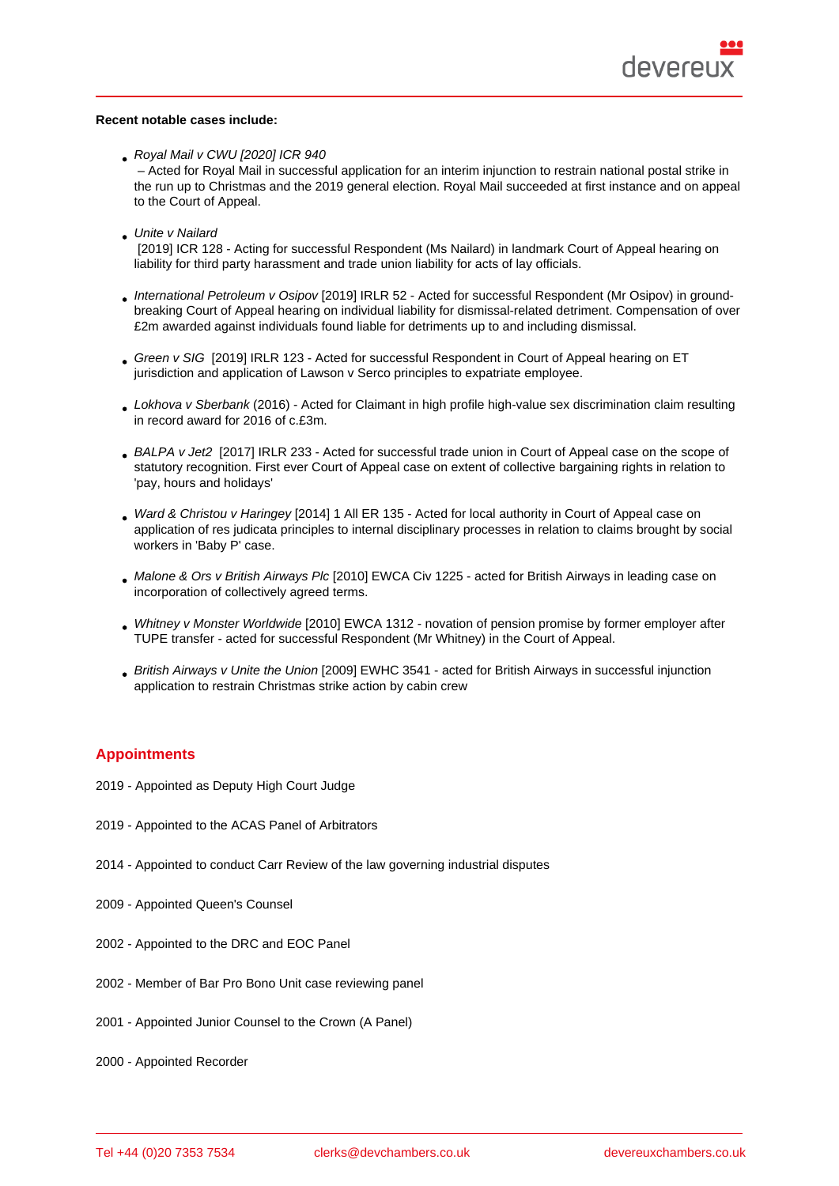Recent notable cases include:

Royal Mail v CWU [2020] ICR 940

 – Acted for Royal Mail in successful application for an interim injunction to restrain national postal strike in the run up to Christmas and the 2019 general election. Royal Mail succeeded at first instance and on appeal to the Court of Appeal.

Unite v Nailard

 [2019] ICR 128 - Acting for successful Respondent (Ms Nailard) in landmark Court of Appeal hearing on liability for third party harassment and trade union liability for acts of lay officials.

- International Petroleum v Osipov [2019] IRLR 52 Acted for successful Respondent (Mr Osipov) in groundbreaking Court of Appeal hearing on individual liability for dismissal-related detriment. Compensation of over £2m awarded against individuals found liable for detriments up to and including dismissal.
- Green v SIG [2019] IRLR 123 Acted for successful Respondent in Court of Appeal hearing on ET [jurisdiction and application of Law](http://bit.ly/2VZU1zZ)son v Serco principles to expatriate employee.
- Lokhova v Sberbank (2016) Acted for Claimant in high profile high-value sex discrimination claim resulting [in record awa](http://bit.ly/2wMRGxy)rd for 2016 of c.£3m.
- BALPA v Jet2 [2017] IRLR 233 Acted for successful trade union in Court of Appeal case on the scope of statutory recognition. First ever Court of Appeal case on extent of collective bargaining rights in relation to 'pay, hours and holidays'
- [Ward & Christ](http://bit.ly/2U7iukr)ou v Haringey [2014] 1 All ER 135 Acted for local authority in Court of Appeal case on application of res judicata principles to internal disciplinary processes in relation to claims brought by social workers in 'Baby P' case.
- [Malone & Ors v British Airwa](http://bit.ly/2TXEnTb)ys Plc [2010] EWCA Civ 1225 acted for British Airways in leading case on incorporation of collectively agreed terms.
- Whitney v Monster Worldwide [2010] EWCA 1312 novation of pension promise by former employer after [TUPE transfer - acted for successfu](http://bit.ly/2TC2B6o)l Respondent (Mr Whitney) in the Court of Appeal.
- British Airways v Unite the Union [2009] EWHC 3541 acted for British Airways in successful injunction [application to restrain Christm](http://bit.ly/2Izo1dQ)as strike action by cabin crew

# **Appointments**

- 2019 Appointed as Deputy High Court Judge
- 2019 Appointed to the ACAS Panel of Arbitrators
- 2014 Appointed to conduct Carr Review of the law governing industrial disputes
- 2009 Appointed Queen's Counsel
- 2002 Appointed to the DRC and EOC Panel
- 2002 Member of Bar Pro Bono Unit case reviewing panel
- 2001 Appointed Junior Counsel to the Crown (A Panel)
- 2000 Appointed Recorder